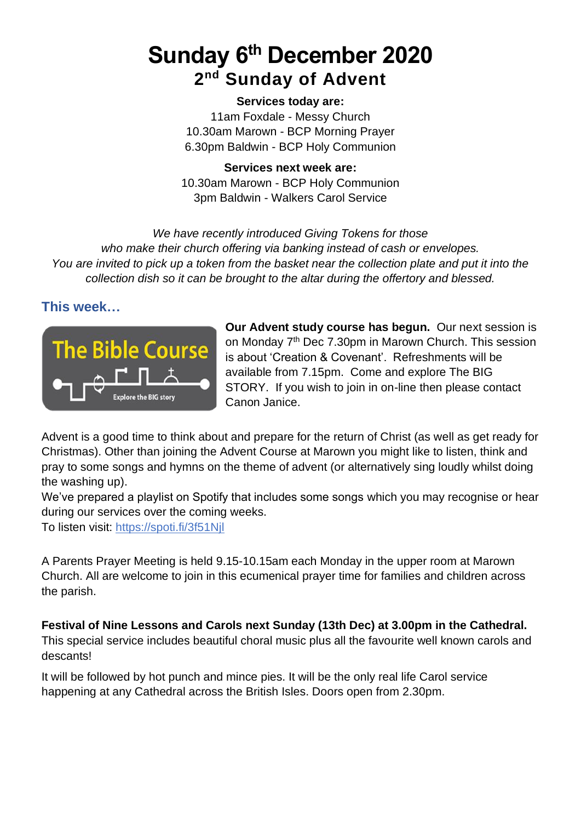# **Sunday 6 th December 2020 2 nd Sunday of Advent**

#### **Services today are:**

11am Foxdale - Messy Church 10.30am Marown - BCP Morning Prayer 6.30pm Baldwin - BCP Holy Communion

**Services next week are:** 10.30am Marown - BCP Holy Communion 3pm Baldwin - Walkers Carol Service

*We have recently introduced Giving Tokens for those who make their church offering via banking instead of cash or envelopes. You are invited to pick up a token from the basket near the collection plate and put it into the collection dish so it can be brought to the altar during the offertory and blessed.*

#### **This week…**



**Our Advent study course has begun.** Our next session is on Monday 7<sup>th</sup> Dec 7.30pm in Marown Church. This session is about 'Creation & Covenant'. Refreshments will be available from 7.15pm. Come and explore The BIG STORY. If you wish to join in on-line then please contact Canon Janice.

Advent is a good time to think about and prepare for the return of Christ (as well as get ready for Christmas). Other than joining the Advent Course at Marown you might like to listen, think and pray to some songs and hymns on the theme of advent (or alternatively sing loudly whilst doing the washing up).

We've prepared a playlist on Spotify that includes some songs which you may recognise or hear during our services over the coming weeks.

To listen visit: <https://spoti.fi/3f51Njl>

A Parents Prayer Meeting is held 9.15-10.15am each Monday in the upper room at Marown Church. All are welcome to join in this ecumenical prayer time for families and children across the parish.

**Festival of Nine Lessons and Carols next Sunday (13th Dec) at 3.00pm in the Cathedral.**

This special service includes beautiful choral music plus all the favourite well known carols and descants!

It will be followed by hot punch and mince pies. It will be the only real life Carol service happening at any Cathedral across the British Isles. Doors open from 2.30pm.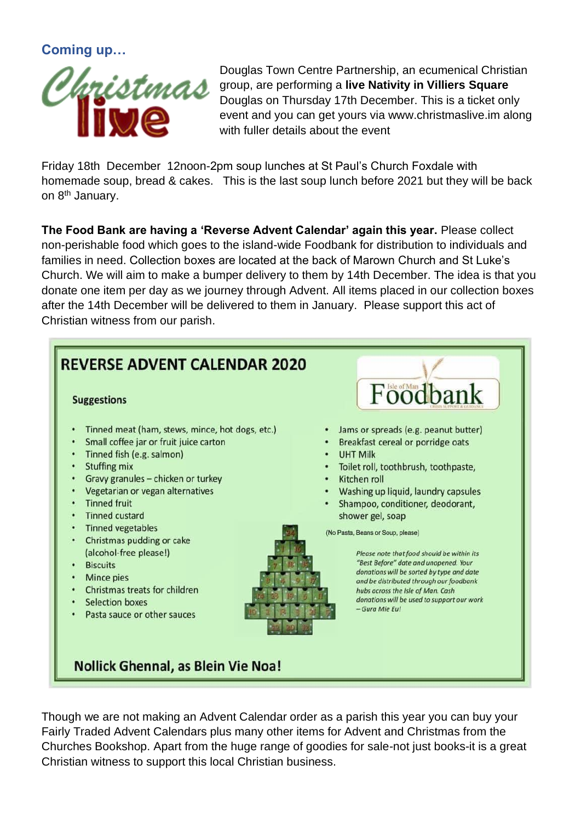**Coming up…**



Douglas Town Centre Partnership, an ecumenical Christian group, are performing a **live Nativity in Villiers Square** Douglas on Thursday 17th December. This is a ticket only event and you can get yours via www.christmaslive.im along with fuller details about the event

Friday 18th December 12noon-2pm soup lunches at St Paul's Church Foxdale with homemade soup, bread & cakes. This is the last soup lunch before 2021 but they will be back on 8<sup>th</sup> January.

**The Food Bank are having a 'Reverse Advent Calendar' again this year.** Please collect non-perishable food which goes to the island-wide Foodbank for distribution to individuals and families in need. Collection boxes are located at the back of Marown Church and St Luke's Church. We will aim to make a bumper delivery to them by 14th December. The idea is that you donate one item per day as we journey through Advent. All items placed in our collection boxes after the 14th December will be delivered to them in January. Please support this act of Christian witness from our parish.



Though we are not making an Advent Calendar order as a parish this year you can buy your Fairly Traded Advent Calendars plus many other items for Advent and Christmas from the Churches Bookshop. Apart from the huge range of goodies for sale-not just books-it is a great Christian witness to support this local Christian business.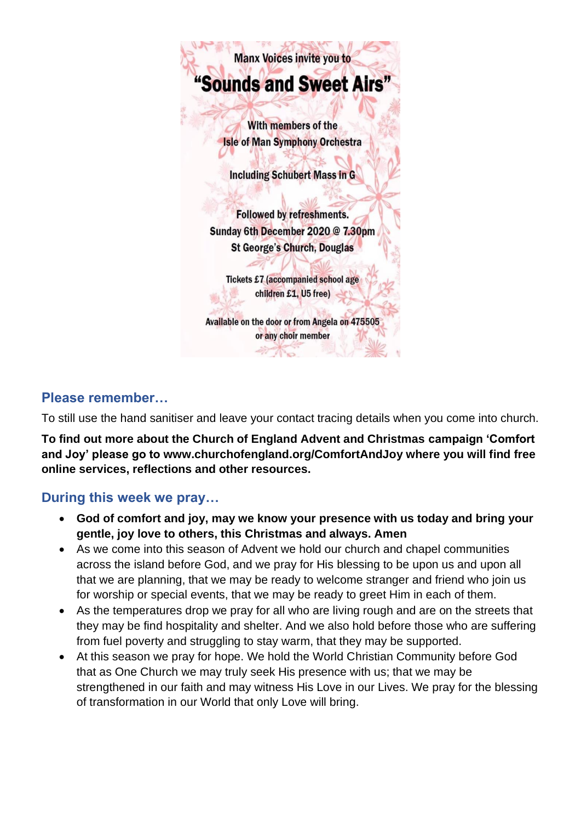

### **Please remember…**

To still use the hand sanitiser and leave your contact tracing details when you come into church.

**To find out more about the Church of England Advent and Christmas campaign 'Comfort and Joy' please go to www.churchofengland.org/ComfortAndJoy where you will find free online services, reflections and other resources.**

### **During this week we pray…**

- **God of comfort and joy, may we know your presence with us today and bring your gentle, joy love to others, this Christmas and always. Amen**
- As we come into this season of Advent we hold our church and chapel communities across the island before God, and we pray for His blessing to be upon us and upon all that we are planning, that we may be ready to welcome stranger and friend who join us for worship or special events, that we may be ready to greet Him in each of them.
- As the temperatures drop we pray for all who are living rough and are on the streets that they may be find hospitality and shelter. And we also hold before those who are suffering from fuel poverty and struggling to stay warm, that they may be supported.
- At this season we pray for hope. We hold the World Christian Community before God that as One Church we may truly seek His presence with us; that we may be strengthened in our faith and may witness His Love in our Lives. We pray for the blessing of transformation in our World that only Love will bring.